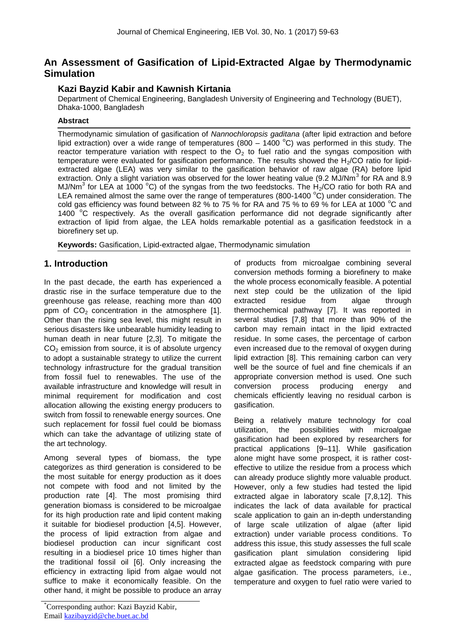# **An Assessment of Gasification of Lipid-Extracted Algae by Thermodynamic Simulation**

### **Kazi Bayzid Kabir and Kawnish Kirtania**

Department of Chemical Engineering, Bangladesh University of Engineering and Technology (BUET), Dhaka-1000, Bangladesh

#### **Abstract**

Thermodynamic simulation of gasification of *Nannochloropsis gaditana* (after lipid extraction and before lipid extraction) over a wide range of temperatures (800 – 1400  $^{\circ}$ C) was performed in this study. The reactor temperature variation with respect to the  $O<sub>2</sub>$  to fuel ratio and the syngas composition with temperature were evaluated for gasification performance. The results showed the  $H<sub>2</sub>/CO$  ratio for lipidextracted algae (LEA) was very similar to the gasification behavior of raw algae (RA) before lipid extraction. Only a slight variation was observed for the lower heating value (9.2 MJ/Nm<sup>3</sup> for RA and 8.9 MJ/Nm<sup>3</sup> for LEA at 1000 °C) of the syngas from the two feedstocks. The  $H_2$ /CO ratio for both RA and LEA remained almost the same over the range of temperatures (800-1400  $^{\circ}$ C) under consideration. The cold gas efficiency was found between 82 % to 75 % for RA and 75 % to 69 % for LEA at 1000 °C and 1400  $^{\circ}$ C respectively. As the overall gasification performance did not degrade significantly after extraction of lipid from algae, the LEA holds remarkable potential as a gasification feedstock in a biorefinery set up.

**Keywords:** Gasification, Lipid-extracted algae, Thermodynamic simulation

## **1. Introduction**

In the past decade, the earth has experienced a drastic rise in the surface temperature due to the greenhouse gas release, reaching more than 400 ppm of  $CO<sub>2</sub>$  concentration in the atmosphere [1]. Other than the rising sea level, this might result in serious disasters like unbearable humidity leading to human death in near future [2,3]. To mitigate the  $CO<sub>2</sub>$  emission from source, it is of absolute urgency to adopt a sustainable strategy to utilize the current technology infrastructure for the gradual transition from fossil fuel to renewables. The use of the available infrastructure and knowledge will result in minimal requirement for modification and cost allocation allowing the existing energy producers to switch from fossil to renewable energy sources. One such replacement for fossil fuel could be biomass which can take the advantage of utilizing state of the art technology.

Among several types of biomass, the type categorizes as third generation is considered to be the most suitable for energy production as it does not compete with food and not limited by the production rate [4]. The most promising third generation biomass is considered to be microalgae for its high production rate and lipid content making it suitable for biodiesel production [4,5]. However, the process of lipid extraction from algae and biodiesel production can incur significant cost resulting in a biodiesel price 10 times higher than the traditional fossil oil [6]. Only increasing the efficiency in extracting lipid from algae would not suffice to make it economically feasible. On the other hand, it might be possible to produce an array

of products from microalgae combining several conversion methods forming a biorefinery to make the whole process economically feasible. A potential next step could be the utilization of the lipid extracted residue from algae through thermochemical pathway [7]. It was reported in several studies [7,8] that more than 90% of the carbon may remain intact in the lipid extracted residue. In some cases, the percentage of carbon even increased due to the removal of oxygen during lipid extraction [8]. This remaining carbon can very well be the source of fuel and fine chemicals if an appropriate conversion method is used. One such conversion process producing energy and chemicals efficiently leaving no residual carbon is gasification.

Being a relatively mature technology for coal utilization, the possibilities with microalgae gasification had been explored by researchers for practical applications [9–11]. While gasification alone might have some prospect, it is rather costeffective to utilize the residue from a process which can already produce slightly more valuable product. However, only a few studies had tested the lipid extracted algae in laboratory scale [7,8,12]. This indicates the lack of data available for practical scale application to gain an in-depth understanding of large scale utilization of algae (after lipid extraction) under variable process conditions. To address this issue, this study assesses the full scale gasification plant simulation considering lipid extracted algae as feedstock comparing with pure algae gasification. The process parameters, i.e., temperature and oxygen to fuel ratio were varied to

<sup>\*</sup>Corresponding author: Kazi Bayzid Kabir, Email kazibayzid@che.buet.ac.bd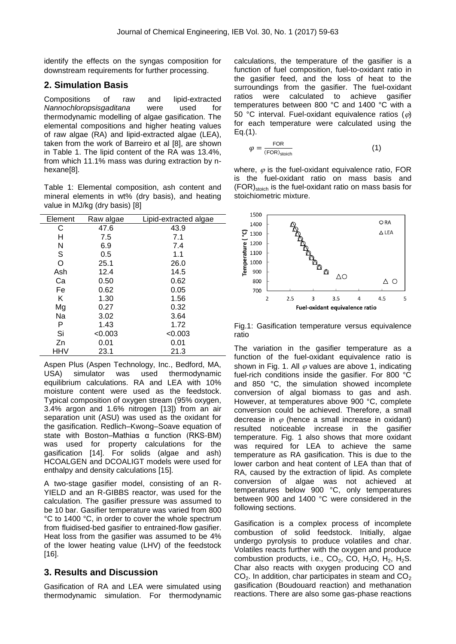identify the effects on the syngas composition for downstream requirements for further processing.

#### **2. Simulation Basis**

Compositions of raw and lipid-extracted *Nannochloropsisgaditana* were used for thermodynamic modelling of algae gasification. The elemental compositions and higher heating values of raw algae (RA) and lipid-extracted algae (LEA), taken from the work of Barreiro et al [8], are shown in Table 1. The lipid content of the RA was 13.4%, from which 11.1% mass was during extraction by nhexane[8].

Table 1: Elemental composition, ash content and mineral elements in wt% (dry basis), and heating value in MJ/kg (dry basis) [8]

| Element | Raw algae | Lipid-extracted algae |
|---------|-----------|-----------------------|
| С       | 47.6      | 43.9                  |
| н       | 7.5       | 7.1                   |
| N       | 6.9       | 7.4                   |
| S       | 0.5       | 1.1                   |
| O       | 25.1      | 26.0                  |
| Ash     | 12.4      | 14.5                  |
| Ca      | 0.50      | 0.62                  |
| Fe      | 0.62      | 0.05                  |
| Κ       | 1.30      | 1.56                  |
| Mg      | 0.27      | 0.32                  |
| Na      | 3.02      | 3.64                  |
| P       | 1.43      | 1.72                  |
| Si      | < 0.003   | < 0.003               |
| Zn      | 0.01      | 0.01                  |
| HHV     | 23.1      | 21.3                  |

Aspen Plus (Aspen Technology, Inc., Bedford, MA, USA) simulator was used thermodynamic equilibrium calculations. RA and LEA with 10% moisture content were used as the feedstock. Typical composition of oxygen stream (95% oxygen, 3.4% argon and 1.6% nitrogen [13]) from an air separation unit (ASU) was used as the oxidant for the gasification. Redlich–Kwong–Soave equation of state with Boston–Mathias α function (RKS-BM) was used for property calculations for the gasification [14]. For solids (algae and ash) HCOALGEN and DCOALIGT models were used for enthalpy and density calculations [15].

A two-stage gasifier model, consisting of an R-YIELD and an R-GIBBS reactor, was used for the calculation. The gasifier pressure was assumed to be 10 bar. Gasifier temperature was varied from 800 °C to 1400 °C, in order to cover the whole spectrum from fluidised-bed gasifier to entrained-flow gasifier. Heat loss from the gasifier was assumed to be 4% of the lower heating value (LHV) of the feedstock [16].

### **3. Results and Discussion**

Gasification of RA and LEA were simulated using thermodynamic simulation. For thermodynamic calculations, the temperature of the gasifier is a function of fuel composition, fuel-to-oxidant ratio in the gasifier feed, and the loss of heat to the surroundings from the gasifier. The fuel-oxidant ratios were calculated to achieve gasifier temperatures between 800 °C and 1400 °C with a 50 °C interval. Fuel-oxidant equivalence ratios ( $\varphi$ ) for each temperature were calculated using the Eq.(1).

$$
\varphi = \frac{\text{FOR}}{(\text{FOR})_{\text{stoich}}} \tag{1}
$$

where,  $\varphi$  is the fuel-oxidant equivalence ratio, FOR is the fuel-oxidant ratio on mass basis and (FOR)stoich is the fuel-oxidant ratio on mass basis for stoichiometric mixture.



Fig.1: Gasification temperature versus equivalence ratio

The variation in the gasifier temperature as a function of the fuel-oxidant equivalence ratio is shown in Fig. 1. All  $\varphi$  values are above 1, indicating fuel-rich conditions inside the gasifier. For 800 °C and 850 °C, the simulation showed incomplete conversion of algal biomass to gas and ash. However, at temperatures above 900 °C, complete conversion could be achieved. Therefore, a small decrease in  $\varphi$  (hence a small increase in oxidant) resulted noticeable increase in the gasifier temperature. Fig. 1 also shows that more oxidant was required for LEA to achieve the same temperature as RA gasification. This is due to the lower carbon and heat content of LEA than that of RA, caused by the extraction of lipid. As complete conversion of algae was not achieved at temperatures below 900 °C, only temperatures between 900 and 1400 °C were considered in the following sections.

Gasification is a complex process of incomplete combustion of solid feedstock. Initially, algae undergo pyrolysis to produce volatiles and char. Volatiles reacts further with the oxygen and produce combustion products, i.e.,  $CO<sub>2</sub>$ ,  $CO$ ,  $H<sub>2</sub>O$ ,  $H<sub>2</sub>$ ,  $H<sub>2</sub>S$ . Char also reacts with oxygen producing CO and  $CO<sub>2</sub>$ . In addition, char participates in steam and  $CO<sub>2</sub>$ gasification (Boudouard reaction) and methanation reactions. There are also some gas-phase reactions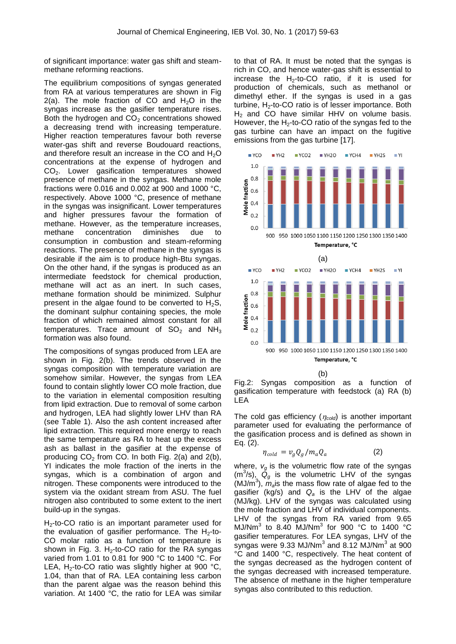of significant importance: water gas shift and steammethane reforming reactions.

The equilibrium compositions of syngas generated from RA at various temperatures are shown in Fig 2(a). The mole fraction of CO and  $H_2O$  in the syngas increase as the gasifier temperature rises. Both the hydrogen and  $CO<sub>2</sub>$  concentrations showed a decreasing trend with increasing temperature. Higher reaction temperatures favour both reverse water-gas shift and reverse Boudouard reactions, and therefore result an increase in the CO and  $H_2O$ concentrations at the expense of hydrogen and CO2. Lower gasification temperatures showed presence of methane in the syngas. Methane mole fractions were 0.016 and 0.002 at 900 and 1000 °C, respectively. Above 1000 °C, presence of methane in the syngas was insignificant. Lower temperatures and higher pressures favour the formation of methane. However, as the temperature increases, methane concentration diminishes due to consumption in combustion and steam-reforming reactions. The presence of methane in the syngas is desirable if the aim is to produce high-Btu syngas. On the other hand, if the syngas is produced as an intermediate feedstock for chemical production, methane will act as an inert. In such cases, methane formation should be minimized. Sulphur present in the algae found to be converted to  $H_2S$ , the dominant sulphur containing species, the mole fraction of which remained almost constant for all temperatures. Trace amount of  $SO<sub>2</sub>$  and NH<sub>3</sub> formation was also found.

The compositions of syngas produced from LEA are shown in Fig. 2(b). The trends observed in the syngas composition with temperature variation are somehow similar. However, the syngas from LEA found to contain slightly lower CO mole fraction, due to the variation in elemental composition resulting from lipid extraction. Due to removal of some carbon and hydrogen, LEA had slightly lower LHV than RA (see Table 1). Also the ash content increased after lipid extraction. This required more energy to reach the same temperature as RA to heat up the excess ash as ballast in the gasifier at the expense of producing  $CO<sub>2</sub>$  from CO. In both Fig. 2(a) and 2(b), YI indicates the mole fraction of the inerts in the syngas, which is a combination of argon and nitrogen. These components were introduced to the system via the oxidant stream from ASU. The fuel nitrogen also contributed to some extent to the inert build-up in the syngas.

 $H_2$ -to-CO ratio is an important parameter used for the evaluation of gasifier performance. The  $H_2$ -to-CO molar ratio as a function of temperature is shown in Fig. 3. H<sub>2</sub>-to-CO ratio for the RA syngas varied from 1.01 to 0.81 for 900 °C to 1400 °C. For LEA,  $H_2$ -to-CO ratio was slightly higher at 900 °C, 1.04, than that of RA. LEA containing less carbon than the parent algae was the reason behind this variation. At 1400 °C, the ratio for LEA was similar to that of RA. It must be noted that the syngas is rich in CO, and hence water-gas shift is essential to increase the  $H_2$ -to-CO ratio, if it is used for production of chemicals, such as methanol or dimethyl ether. If the syngas is used in a gas turbine,  $H_2$ -to-CO ratio is of lesser importance. Both  $H<sub>2</sub>$  and CO have similar HHV on volume basis. However, the  $H_2$ -to-CO ratio of the syngas fed to the gas turbine can have an impact on the fugitive emissions from the gas turbine [17].



Fig.2: Syngas composition as a function of gasification temperature with feedstock (a) RA (b) LEA

The cold gas efficiency  $(\eta_{cold})$  is another important parameter used for evaluating the performance of the gasification process and is defined as shown in Eq. (2).

$$
\eta_{cold} = v_g Q_g / m_a Q_a \tag{2}
$$

where,  $v_g$  is the volumetric flow rate of the syngas  $(m^3/s)$ ,  $\ddot{Q}_g$  is the volumetric LHV of the syngas (MJ/m<sup>3</sup>),  $m_a$  is the mass flow rate of algae fed to the gasifier (kg/s) and *Q<sup>a</sup>* is the LHV of the algae (MJ/kg). LHV of the syngas was calculated using the mole fraction and LHV of individual components. LHV of the syngas from RA varied from 9.65 MJ/Nm<sup>3</sup> to 8.40 MJ/Nm<sup>3</sup> for 900 °C to 1400 °C gasifier temperatures. For LEA syngas, LHV of the syngas were 9.33 MJ/Nm<sup>3</sup> and 8.12 MJ/Nm<sup>3</sup> at 900 °C and 1400 °C, respectively. The heat content of the syngas decreased as the hydrogen content of the syngas decreased with increased temperature. The absence of methane in the higher temperature syngas also contributed to this reduction.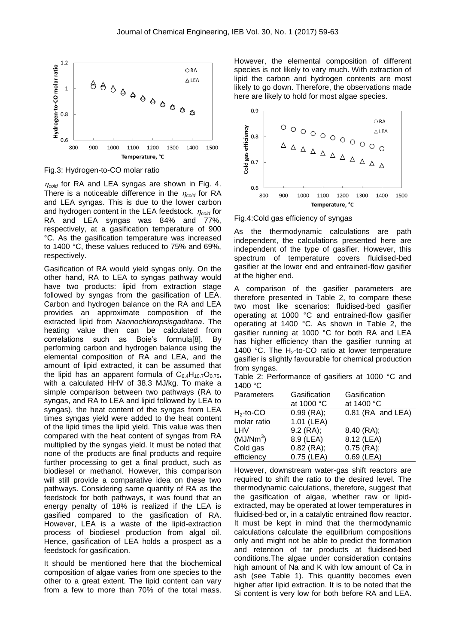

Fig.3: Hydrogen-to-CO molar ratio

 $n_{cold}$  for RA and LEA syngas are shown in Fig. 4. There is a noticeable difference in the  $\eta_{cold}$  for RA and LEA syngas. This is due to the lower carbon and hydrogen content in the LEA feedstock.  $\eta_{cold}$  for RA and LEA syngas was 84% and 77%, respectively, at a gasification temperature of 900 °C. As the gasification temperature was increased to 1400 °C, these values reduced to 75% and 69%, respectively.

Gasification of RA would yield syngas only. On the other hand, RA to LEA to syngas pathway would have two products: lipid from extraction stage followed by syngas from the gasification of LEA. Carbon and hydrogen balance on the RA and LEA provides an approximate composition of the extracted lipid from *Nannochloropsisgaditana*. The heating value then can be calculated from correlations such as Boie's formula[8]. By performing carbon and hydrogen balance using the elemental composition of RA and LEA, and the amount of lipid extracted, it can be assumed that the lipid has an apparent formula of  $C_{6.4}H_{10.7}O_{0.75}$ , with a calculated HHV of 38.3 MJ/kg. To make a simple comparison between two pathways (RA to syngas, and RA to LEA and lipid followed by LEA to syngas), the heat content of the syngas from LEA times syngas yield were added to the heat content of the lipid times the lipid yield. This value was then compared with the heat content of syngas from RA multiplied by the syngas yield. It must be noted that none of the products are final products and require further processing to get a final product, such as biodiesel or methanol. However, this comparison will still provide a comparative idea on these two pathways. Considering same quantity of RA as the feedstock for both pathways, it was found that an energy penalty of 18% is realized if the LEA is gasified compared to the gasification of RA. However, LEA is a waste of the lipid-extraction process of biodiesel production from algal oil. Hence, gasification of LEA holds a prospect as a feedstock for gasification.

It should be mentioned here that the biochemical composition of algae varies from one species to the other to a great extent. The lipid content can vary from a few to more than 70% of the total mass. However, the elemental composition of different species is not likely to vary much. With extraction of lipid the carbon and hydrogen contents are most likely to go down. Therefore, the observations made here are likely to hold for most algae species.



Fig.4:Cold gas efficiency of syngas

As the thermodynamic calculations are path independent, the calculations presented here are independent of the type of gasifier. However, this spectrum of temperature covers fluidised-bed gasifier at the lower end and entrained-flow gasifier at the higher end.

A comparison of the gasifier parameters are therefore presented in Table 2, to compare these two most like scenarios: fluidised-bed gasifier operating at 1000 °C and entrained-flow gasifier operating at 1400 °C. As shown in Table 2, the gasifier running at 1000 °C for both RA and LEA has higher efficiency than the gasifier running at 1400 °C. The  $H_2$ -to-CO ratio at lower temperature gasifier is slightly favourable for chemical production from syngas.

Table 2: Performance of gasifiers at 1000 °C and 1400 °C

| Parameters            | Gasification | Gasification      |
|-----------------------|--------------|-------------------|
|                       | at 1000 °C   | at 1400 °C        |
| $H_2$ -to-CO          | $0.99$ (RA); | 0.81 (RA and LEA) |
| molar ratio           | 1.01 (LEA)   |                   |
| LHV                   | $9.2$ (RA);  | $8.40$ (RA);      |
| (MJ/Nm <sup>3</sup> ) | 8.9 (LEA)    | 8.12 (LEA)        |
| Cold gas              | $0.82$ (RA); | $0.75$ (RA);      |
| efficiency            | $0.75$ (LEA) | $0.69$ (LEA)      |

However, downstream water-gas shift reactors are required to shift the ratio to the desired level. The thermodynamic calculations, therefore, suggest that the gasification of algae, whether raw or lipidextracted, may be operated at lower temperatures in fluidised-bed or, in a catalytic entrained flow reactor. It must be kept in mind that the thermodynamic calculations calculate the equilibrium compositions only and might not be able to predict the formation and retention of tar products at fluidised-bed conditions.The algae under consideration contains high amount of Na and K with low amount of Ca in ash (see Table 1). This quantity becomes even higher after lipid extraction. It is to be noted that the Si content is very low for both before RA and LEA.